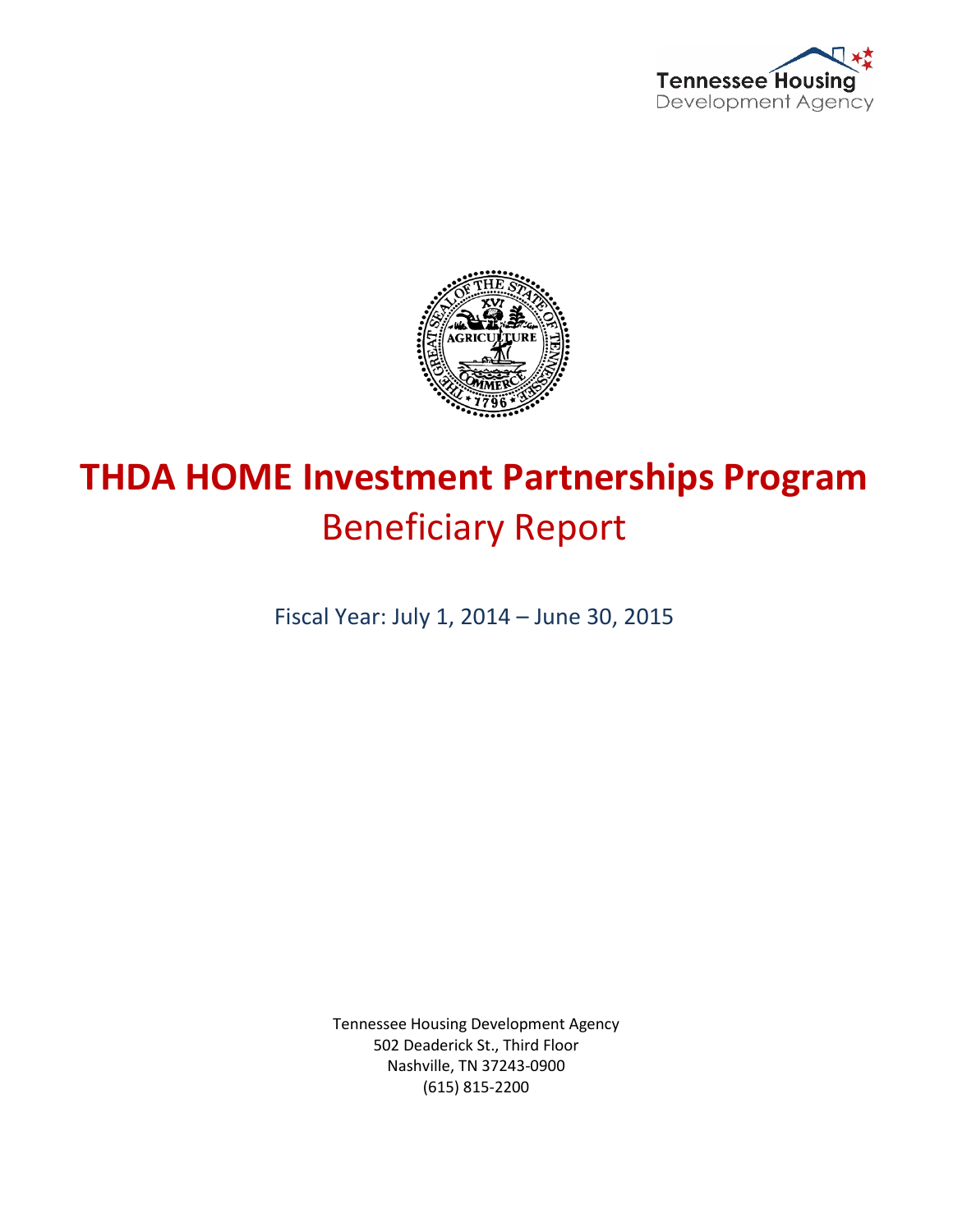



# **THDA HOME Investment Partnerships Program** Beneficiary Report

Fiscal Year: July 1, 2014 – June 30, 2015

Tennessee Housing Development Agency 502 Deaderick St., Third Floor Nashville, TN 37243-0900 (615) 815-2200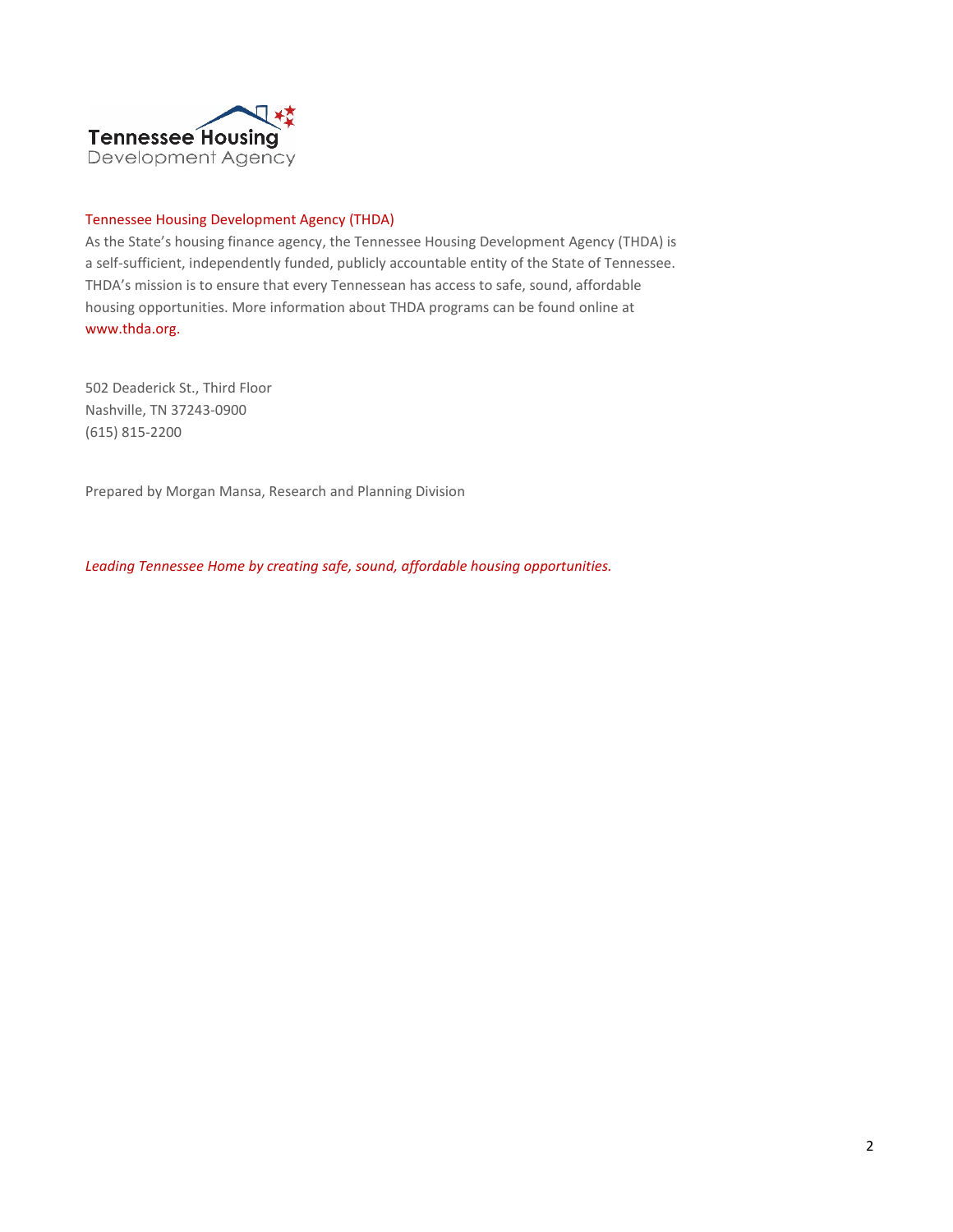

#### Tennessee Housing Development Agency (THDA)

As the State's housing finance agency, the Tennessee Housing Development Agency (THDA) is a self-sufficient, independently funded, publicly accountable entity of the State of Tennessee. THDA's mission is to ensure that every Tennessean has access to safe, sound, affordable housing opportunities. More information about THDA programs can be found online at www.thda.org.

502 Deaderick St., Third Floor Nashville, TN 37243-0900 (615) 815-2200

Prepared by Morgan Mansa, Research and Planning Division

*Leading Tennessee Home by creating safe, sound, affordable housing opportunities.*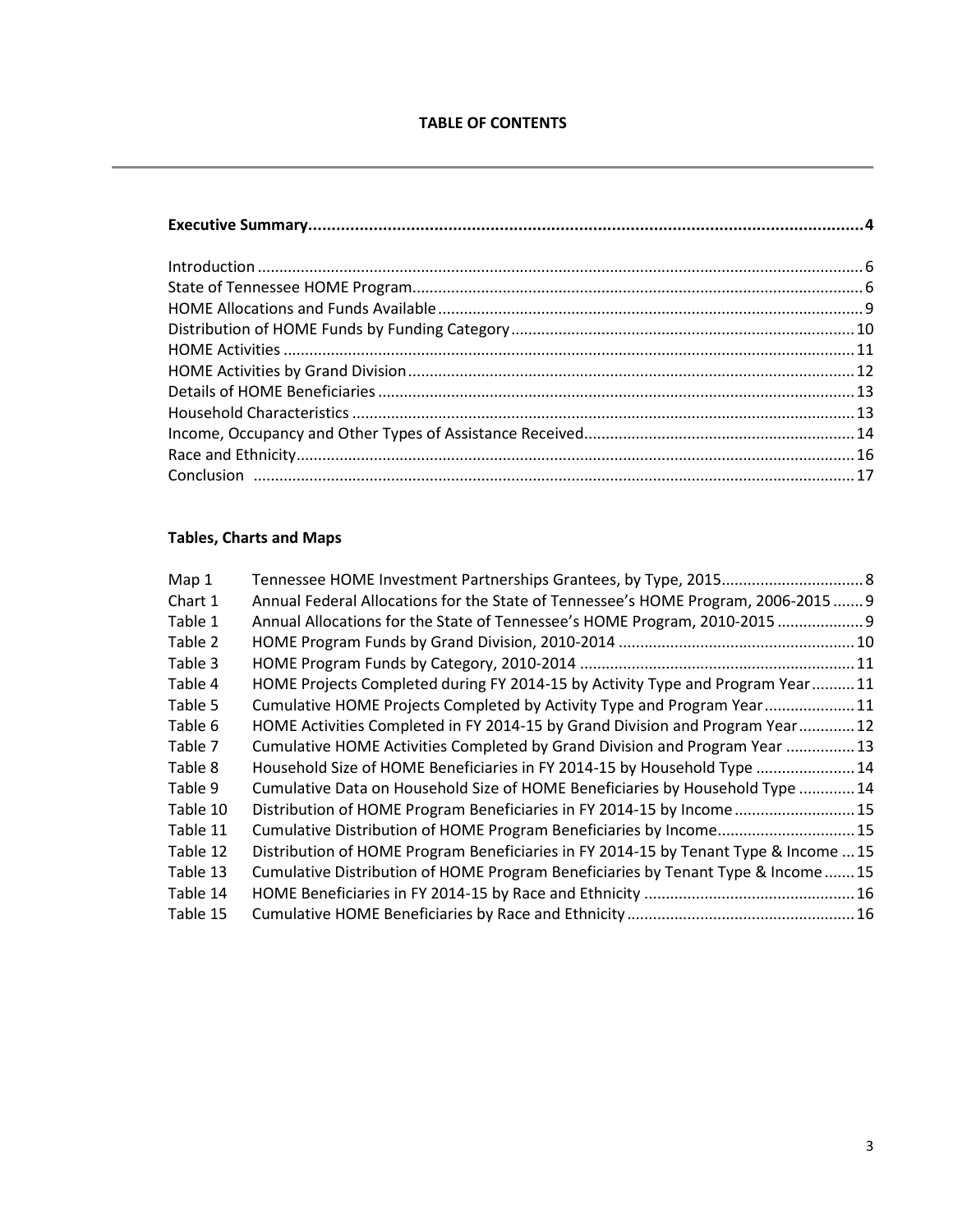# **Tables, Charts and Maps**

| Map 1    |                                                                                      |  |
|----------|--------------------------------------------------------------------------------------|--|
| Chart 1  | Annual Federal Allocations for the State of Tennessee's HOME Program, 2006-2015  9   |  |
| Table 1  | Annual Allocations for the State of Tennessee's HOME Program, 2010-2015  9           |  |
| Table 2  |                                                                                      |  |
| Table 3  |                                                                                      |  |
| Table 4  | HOME Projects Completed during FY 2014-15 by Activity Type and Program Year  11      |  |
| Table 5  | Cumulative HOME Projects Completed by Activity Type and Program Year 11              |  |
| Table 6  | HOME Activities Completed in FY 2014-15 by Grand Division and Program Year 12        |  |
| Table 7  | Cumulative HOME Activities Completed by Grand Division and Program Year  13          |  |
| Table 8  | Household Size of HOME Beneficiaries in FY 2014-15 by Household Type  14             |  |
| Table 9  | Cumulative Data on Household Size of HOME Beneficiaries by Household Type  14        |  |
| Table 10 | Distribution of HOME Program Beneficiaries in FY 2014-15 by Income 15                |  |
| Table 11 | Cumulative Distribution of HOME Program Beneficiaries by Income 15                   |  |
| Table 12 | Distribution of HOME Program Beneficiaries in FY 2014-15 by Tenant Type & Income  15 |  |
| Table 13 | Cumulative Distribution of HOME Program Beneficiaries by Tenant Type & Income  15    |  |
| Table 14 |                                                                                      |  |
| Table 15 |                                                                                      |  |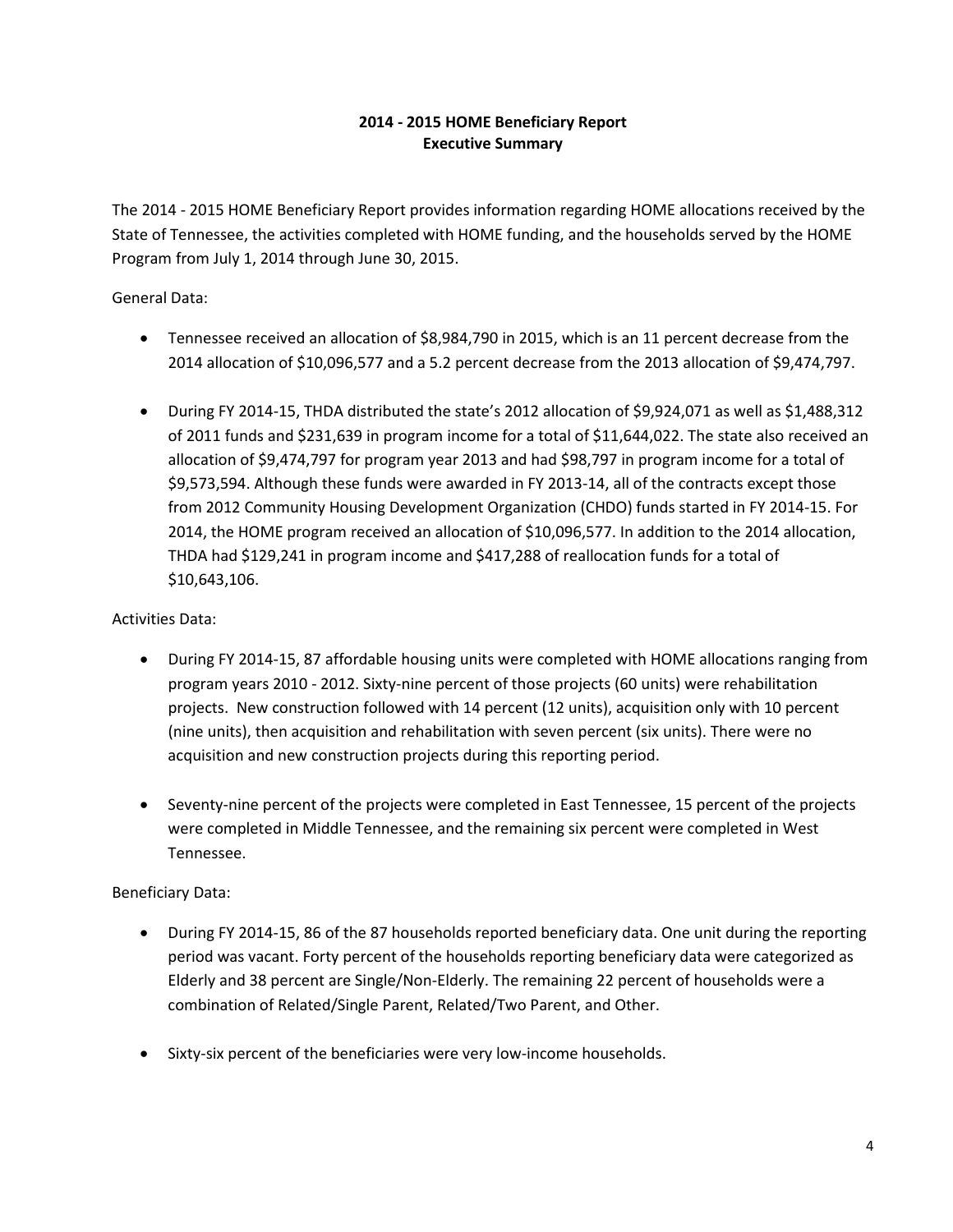# **2014 - 2015 HOME Beneficiary Report Executive Summary**

The 2014 - 2015 HOME Beneficiary Report provides information regarding HOME allocations received by the State of Tennessee, the activities completed with HOME funding, and the households served by the HOME Program from July 1, 2014 through June 30, 2015.

General Data:

- Tennessee received an allocation of \$8,984,790 in 2015, which is an 11 percent decrease from the 2014 allocation of \$10,096,577 and a 5.2 percent decrease from the 2013 allocation of \$9,474,797.
- During FY 2014-15, THDA distributed the state's 2012 allocation of \$9,924,071 as well as \$1,488,312 of 2011 funds and \$231,639 in program income for a total of \$11,644,022. The state also received an allocation of \$9,474,797 for program year 2013 and had \$98,797 in program income for a total of \$9,573,594. Although these funds were awarded in FY 2013-14, all of the contracts except those from 2012 Community Housing Development Organization (CHDO) funds started in FY 2014-15. For 2014, the HOME program received an allocation of \$10,096,577. In addition to the 2014 allocation, THDA had \$129,241 in program income and \$417,288 of reallocation funds for a total of \$10,643,106.

Activities Data:

- During FY 2014-15, 87 affordable housing units were completed with HOME allocations ranging from program years 2010 - 2012. Sixty-nine percent of those projects (60 units) were rehabilitation projects. New construction followed with 14 percent (12 units), acquisition only with 10 percent (nine units), then acquisition and rehabilitation with seven percent (six units). There were no acquisition and new construction projects during this reporting period.
- Seventy-nine percent of the projects were completed in East Tennessee, 15 percent of the projects were completed in Middle Tennessee, and the remaining six percent were completed in West Tennessee.

# Beneficiary Data:

- During FY 2014-15, 86 of the 87 households reported beneficiary data. One unit during the reporting period was vacant. Forty percent of the households reporting beneficiary data were categorized as Elderly and 38 percent are Single/Non-Elderly. The remaining 22 percent of households were a combination of Related/Single Parent, Related/Two Parent, and Other.
- Sixty-six percent of the beneficiaries were very low-income households.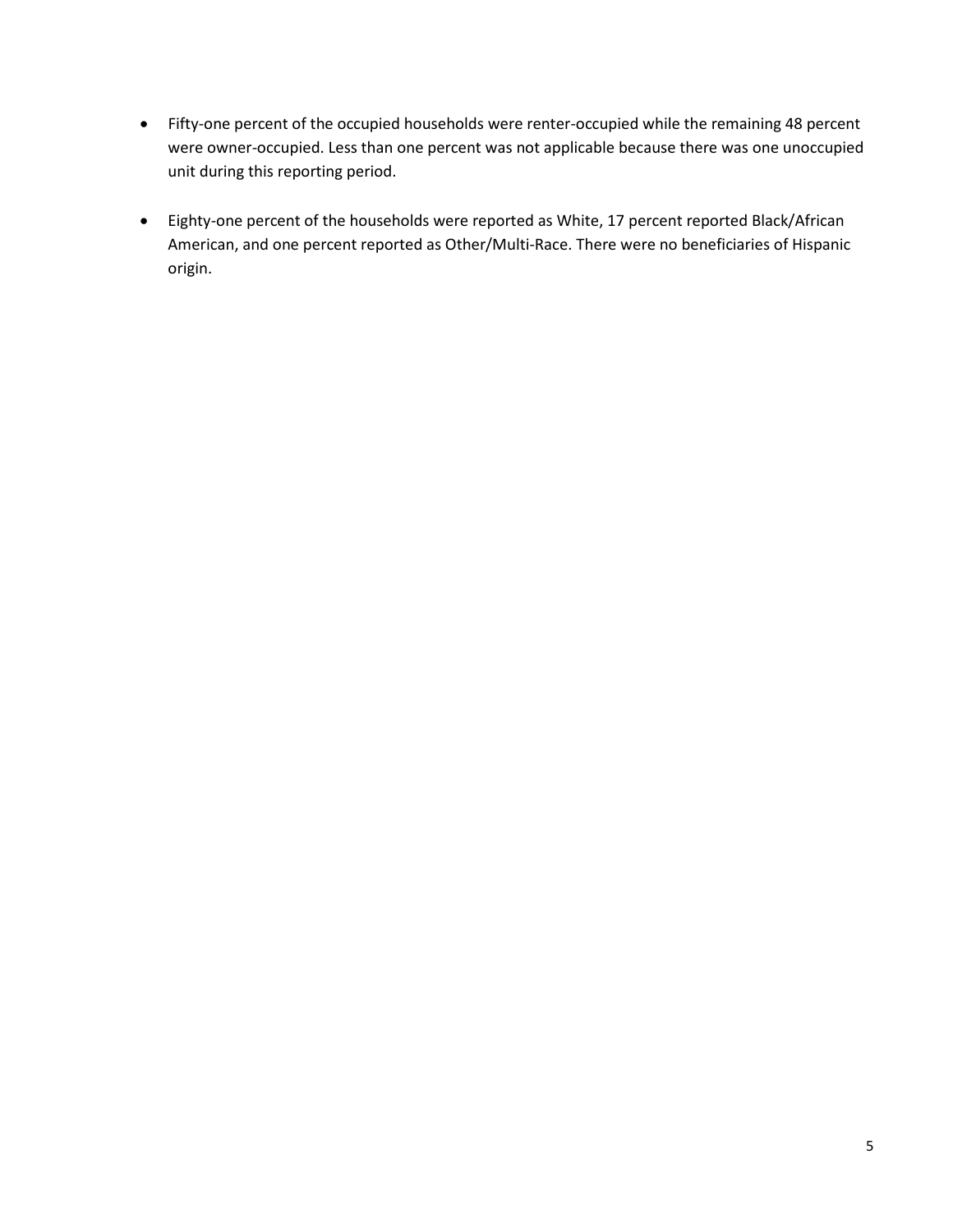- Fifty-one percent of the occupied households were renter-occupied while the remaining 48 percent were owner-occupied. Less than one percent was not applicable because there was one unoccupied unit during this reporting period.
- Eighty-one percent of the households were reported as White, 17 percent reported Black/African American, and one percent reported as Other/Multi-Race. There were no beneficiaries of Hispanic origin.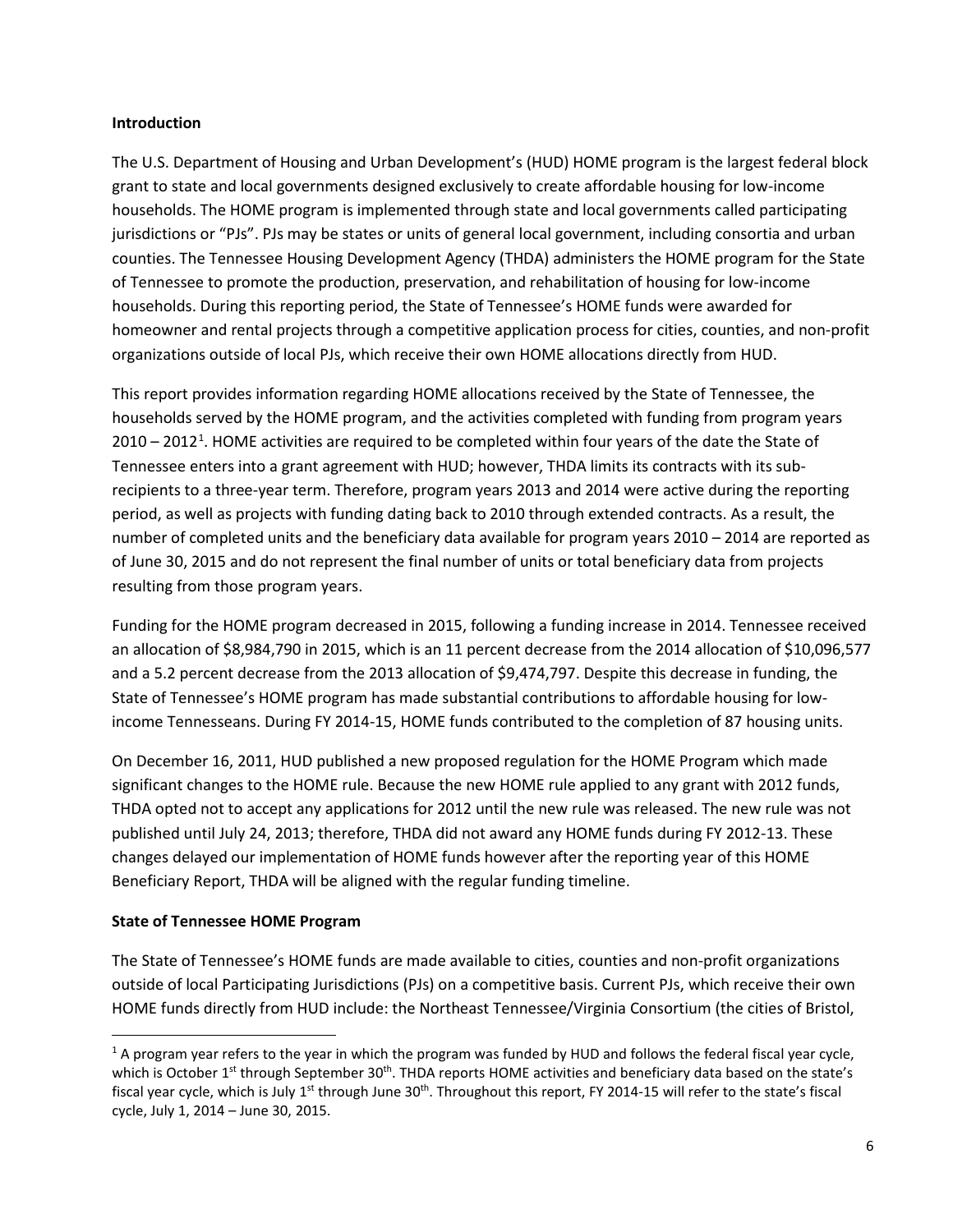#### **Introduction**

The U.S. Department of Housing and Urban Development's (HUD) HOME program is the largest federal block grant to state and local governments designed exclusively to create affordable housing for low-income households. The HOME program is implemented through state and local governments called participating jurisdictions or "PJs". PJs may be states or units of general local government, including consortia and urban counties. The Tennessee Housing Development Agency (THDA) administers the HOME program for the State of Tennessee to promote the production, preservation, and rehabilitation of housing for low-income households. During this reporting period, the State of Tennessee's HOME funds were awarded for homeowner and rental projects through a competitive application process for cities, counties, and non-profit organizations outside of local PJs, which receive their own HOME allocations directly from HUD.

This report provides information regarding HOME allocations received by the State of Tennessee, the households served by the HOME program, and the activities completed with funding from program years  $2010 - 2012<sup>1</sup>$  $2010 - 2012<sup>1</sup>$  $2010 - 2012<sup>1</sup>$ . HOME activities are required to be completed within four years of the date the State of Tennessee enters into a grant agreement with HUD; however, THDA limits its contracts with its subrecipients to a three-year term. Therefore, program years 2013 and 2014 were active during the reporting period, as well as projects with funding dating back to 2010 through extended contracts. As a result, the number of completed units and the beneficiary data available for program years 2010 – 2014 are reported as of June 30, 2015 and do not represent the final number of units or total beneficiary data from projects resulting from those program years.

Funding for the HOME program decreased in 2015, following a funding increase in 2014. Tennessee received an allocation of \$8,984,790 in 2015, which is an 11 percent decrease from the 2014 allocation of \$10,096,577 and a 5.2 percent decrease from the 2013 allocation of \$9,474,797. Despite this decrease in funding, the State of Tennessee's HOME program has made substantial contributions to affordable housing for lowincome Tennesseans. During FY 2014-15, HOME funds contributed to the completion of 87 housing units.

On December 16, 2011, HUD published a new proposed regulation for the HOME Program which made significant changes to the HOME rule. Because the new HOME rule applied to any grant with 2012 funds, THDA opted not to accept any applications for 2012 until the new rule was released. The new rule was not published until July 24, 2013; therefore, THDA did not award any HOME funds during FY 2012-13. These changes delayed our implementation of HOME funds however after the reporting year of this HOME Beneficiary Report, THDA will be aligned with the regular funding timeline.

#### **State of Tennessee HOME Program**

The State of Tennessee's HOME funds are made available to cities, counties and non-profit organizations outside of local Participating Jurisdictions (PJs) on a competitive basis. Current PJs, which receive their own HOME funds directly from HUD include: the Northeast Tennessee/Virginia Consortium (the cities of Bristol,

<span id="page-5-0"></span> $1$  A program year refers to the year in which the program was funded by HUD and follows the federal fiscal year cycle, which is October  $1<sup>st</sup>$  through September 30<sup>th</sup>. THDA reports HOME activities and beneficiary data based on the state's fiscal year cycle, which is July 1<sup>st</sup> through June 30<sup>th</sup>. Throughout this report, FY 2014-15 will refer to the state's fiscal cycle, July 1, 2014 – June 30, 2015.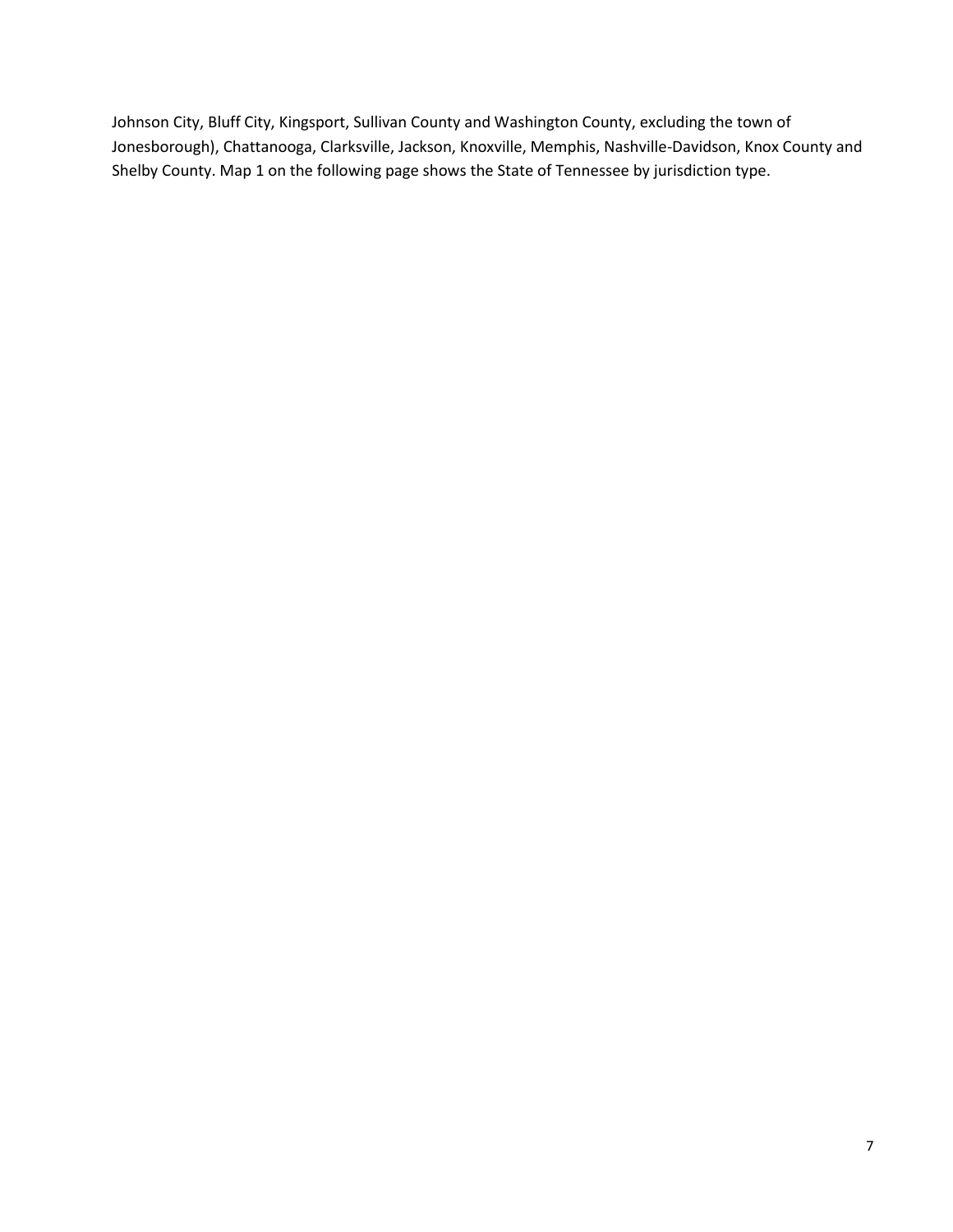Johnson City, Bluff City, Kingsport, Sullivan County and Washington County, excluding the town of Jonesborough), Chattanooga, Clarksville, Jackson, Knoxville, Memphis, Nashville-Davidson, Knox County and Shelby County. Map 1 on the following page shows the State of Tennessee by jurisdiction type.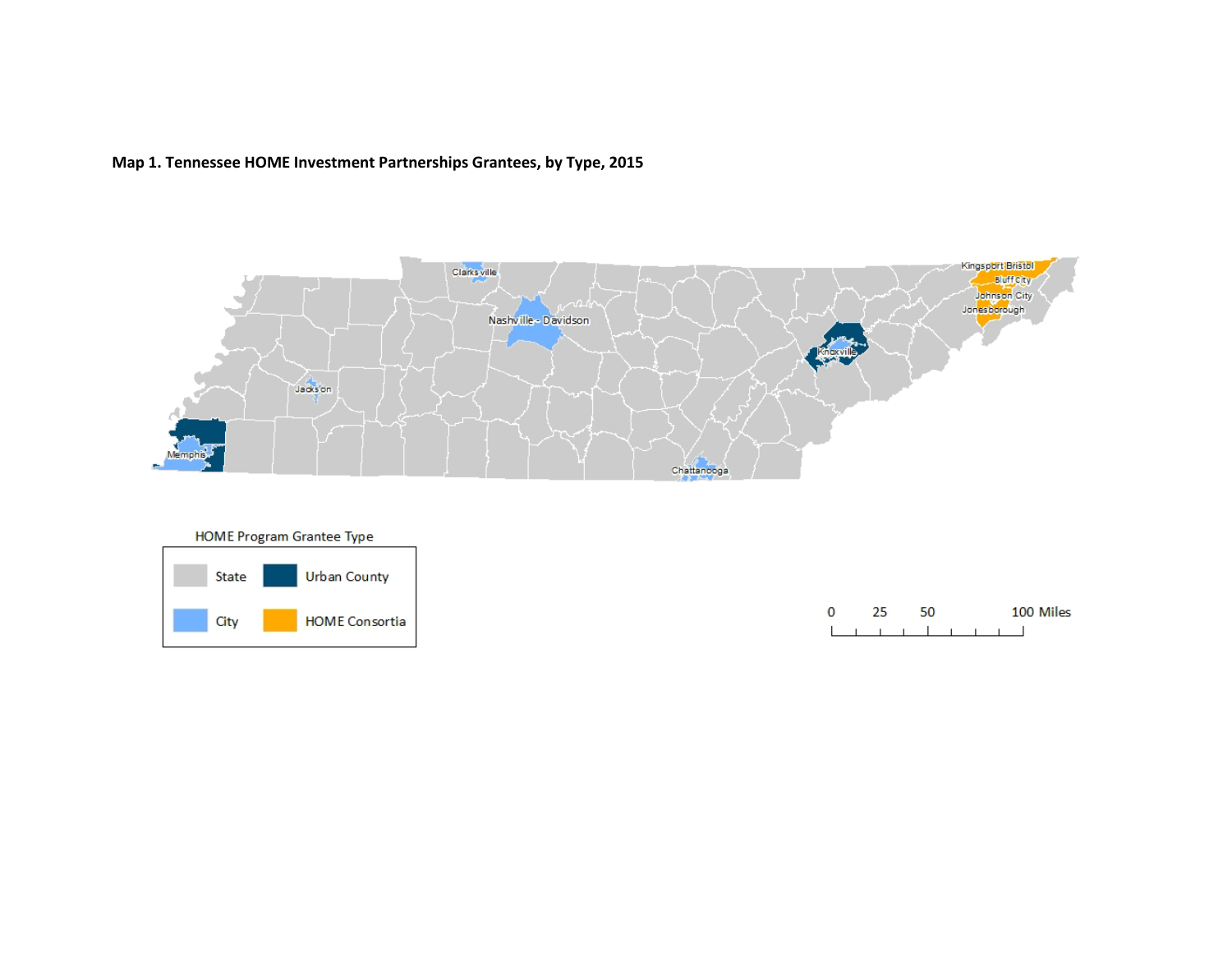# **Map 1. Tennessee HOME Investment Partnerships Grantees, by Type, 2015**



**HOME Program Grantee Type** 



| $\Omega$ |  | 50 |  |  | 100 Miles |
|----------|--|----|--|--|-----------|
|          |  |    |  |  |           |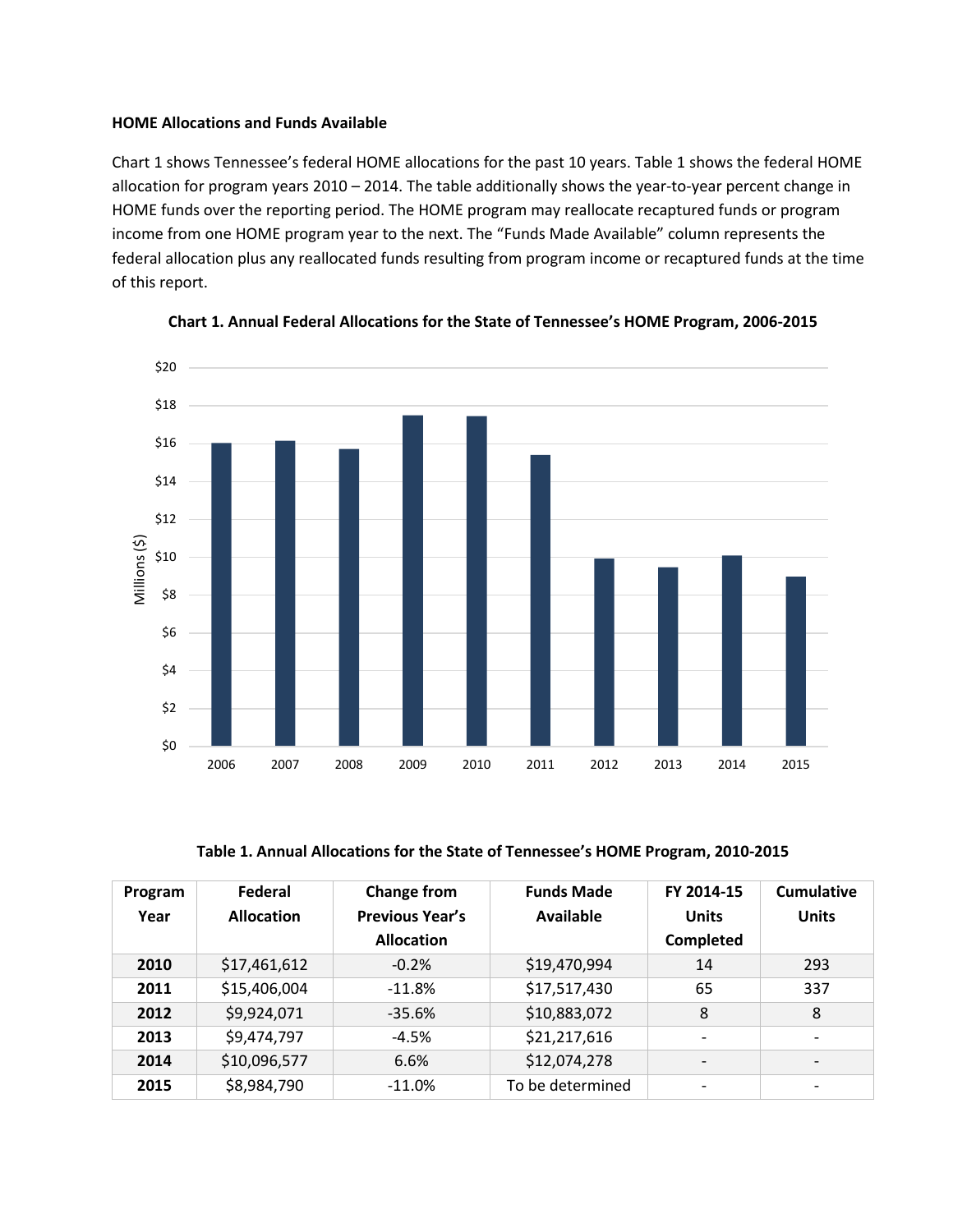#### **HOME Allocations and Funds Available**

Chart 1 shows Tennessee's federal HOME allocations for the past 10 years. Table 1 shows the federal HOME allocation for program years 2010 – 2014. The table additionally shows the year-to-year percent change in HOME funds over the reporting period. The HOME program may reallocate recaptured funds or program income from one HOME program year to the next. The "Funds Made Available" column represents the federal allocation plus any reallocated funds resulting from program income or recaptured funds at the time of this report.





**Table 1. Annual Allocations for the State of Tennessee's HOME Program, 2010-2015**

| Program<br>Year | Federal<br><b>Allocation</b> | <b>Change from</b><br><b>Previous Year's</b><br><b>Allocation</b> | <b>Funds Made</b><br>Available | FY 2014-15<br><b>Units</b><br>Completed | <b>Cumulative</b><br><b>Units</b> |
|-----------------|------------------------------|-------------------------------------------------------------------|--------------------------------|-----------------------------------------|-----------------------------------|
| 2010            | \$17,461,612                 | $-0.2%$                                                           | \$19,470,994                   | 14                                      | 293                               |
| 2011            | \$15,406,004                 | $-11.8%$                                                          | \$17,517,430                   | 65                                      | 337                               |
| 2012            | \$9,924,071                  | $-35.6%$                                                          | \$10,883,072                   | 8                                       | 8                                 |
| 2013            | \$9,474,797                  | $-4.5%$                                                           | \$21,217,616                   |                                         |                                   |
| 2014            | \$10,096,577                 | 6.6%                                                              | \$12,074,278                   |                                         |                                   |
| 2015            | \$8,984,790                  | $-11.0%$                                                          | To be determined               |                                         |                                   |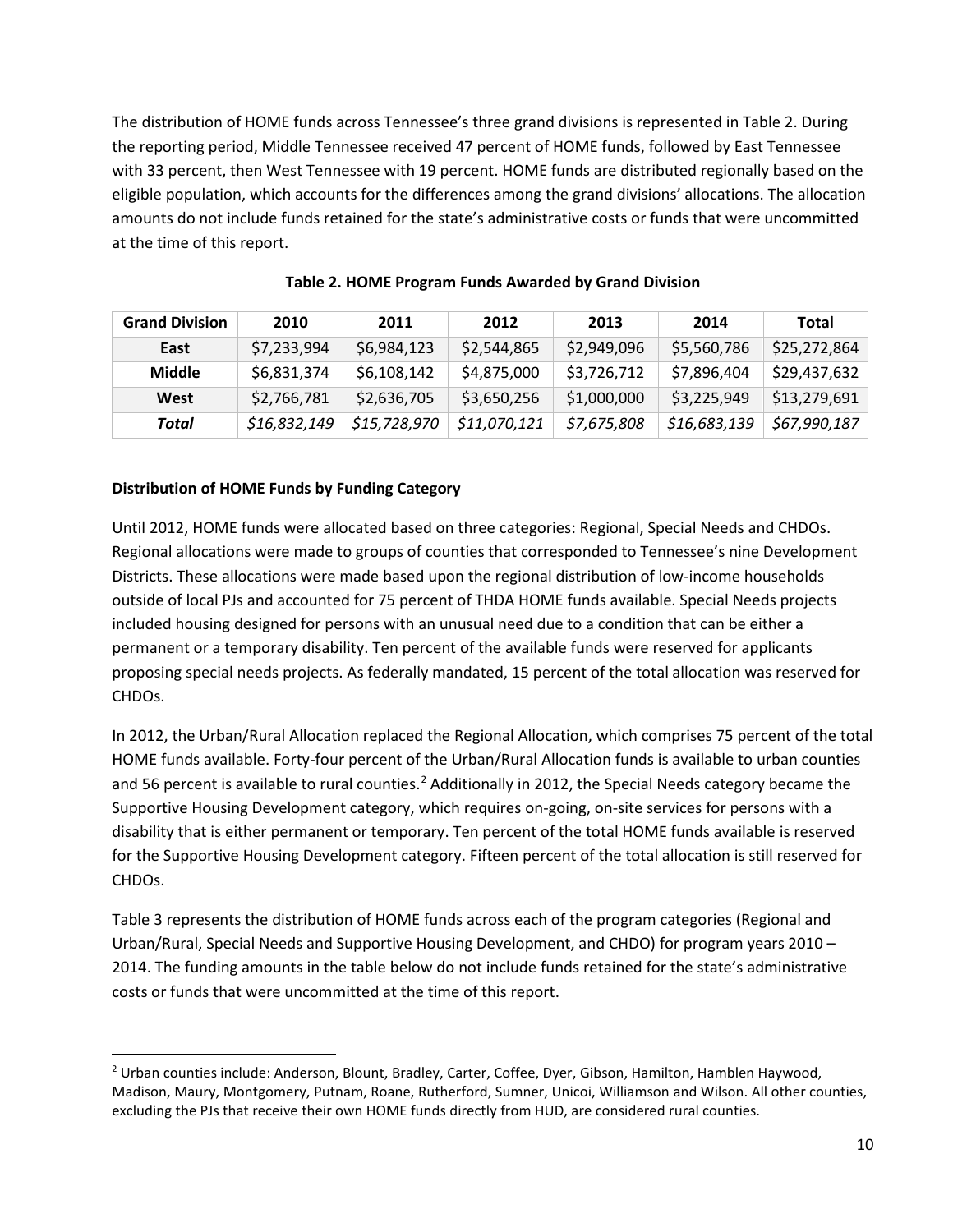The distribution of HOME funds across Tennessee's three grand divisions is represented in Table 2. During the reporting period, Middle Tennessee received 47 percent of HOME funds, followed by East Tennessee with 33 percent, then West Tennessee with 19 percent. HOME funds are distributed regionally based on the eligible population, which accounts for the differences among the grand divisions' allocations. The allocation amounts do not include funds retained for the state's administrative costs or funds that were uncommitted at the time of this report.

| <b>Grand Division</b> | 2010         | 2011         | 2012         | 2013        | 2014         | Total        |
|-----------------------|--------------|--------------|--------------|-------------|--------------|--------------|
| East                  | \$7,233,994  | \$6,984,123  | \$2,544,865  | \$2,949,096 | \$5,560,786  | \$25,272,864 |
| Middle                | \$6,831,374  | \$6,108,142  | \$4,875,000  | \$3,726,712 | \$7,896,404  | \$29,437,632 |
| West                  | \$2,766,781  | \$2,636,705  | \$3,650,256  | \$1,000,000 | \$3,225,949  | \$13,279,691 |
| Total                 | \$16,832,149 | \$15,728,970 | \$11,070,121 | \$7,675,808 | \$16,683,139 | \$67,990,187 |

**Table 2. HOME Program Funds Awarded by Grand Division**

#### **Distribution of HOME Funds by Funding Category**

Until 2012, HOME funds were allocated based on three categories: Regional, Special Needs and CHDOs. Regional allocations were made to groups of counties that corresponded to Tennessee's nine Development Districts. These allocations were made based upon the regional distribution of low-income households outside of local PJs and accounted for 75 percent of THDA HOME funds available. Special Needs projects included housing designed for persons with an unusual need due to a condition that can be either a permanent or a temporary disability. Ten percent of the available funds were reserved for applicants proposing special needs projects. As federally mandated, 15 percent of the total allocation was reserved for CHDOs.

In 2012, the Urban/Rural Allocation replaced the Regional Allocation, which comprises 75 percent of the total HOME funds available. Forty-four percent of the Urban/Rural Allocation funds is available to urban counties and 56 percent is available to rural counties.<sup>[2](#page-9-0)</sup> Additionally in 2012, the Special Needs category became the Supportive Housing Development category, which requires on-going, on-site services for persons with a disability that is either permanent or temporary. Ten percent of the total HOME funds available is reserved for the Supportive Housing Development category. Fifteen percent of the total allocation is still reserved for CHDOs.

Table 3 represents the distribution of HOME funds across each of the program categories (Regional and Urban/Rural, Special Needs and Supportive Housing Development, and CHDO) for program years 2010 – 2014. The funding amounts in the table below do not include funds retained for the state's administrative costs or funds that were uncommitted at the time of this report.

<span id="page-9-0"></span> <sup>2</sup> Urban counties include: Anderson, Blount, Bradley, Carter, Coffee, Dyer, Gibson, Hamilton, Hamblen Haywood, Madison, Maury, Montgomery, Putnam, Roane, Rutherford, Sumner, Unicoi, Williamson and Wilson. All other counties, excluding the PJs that receive their own HOME funds directly from HUD, are considered rural counties.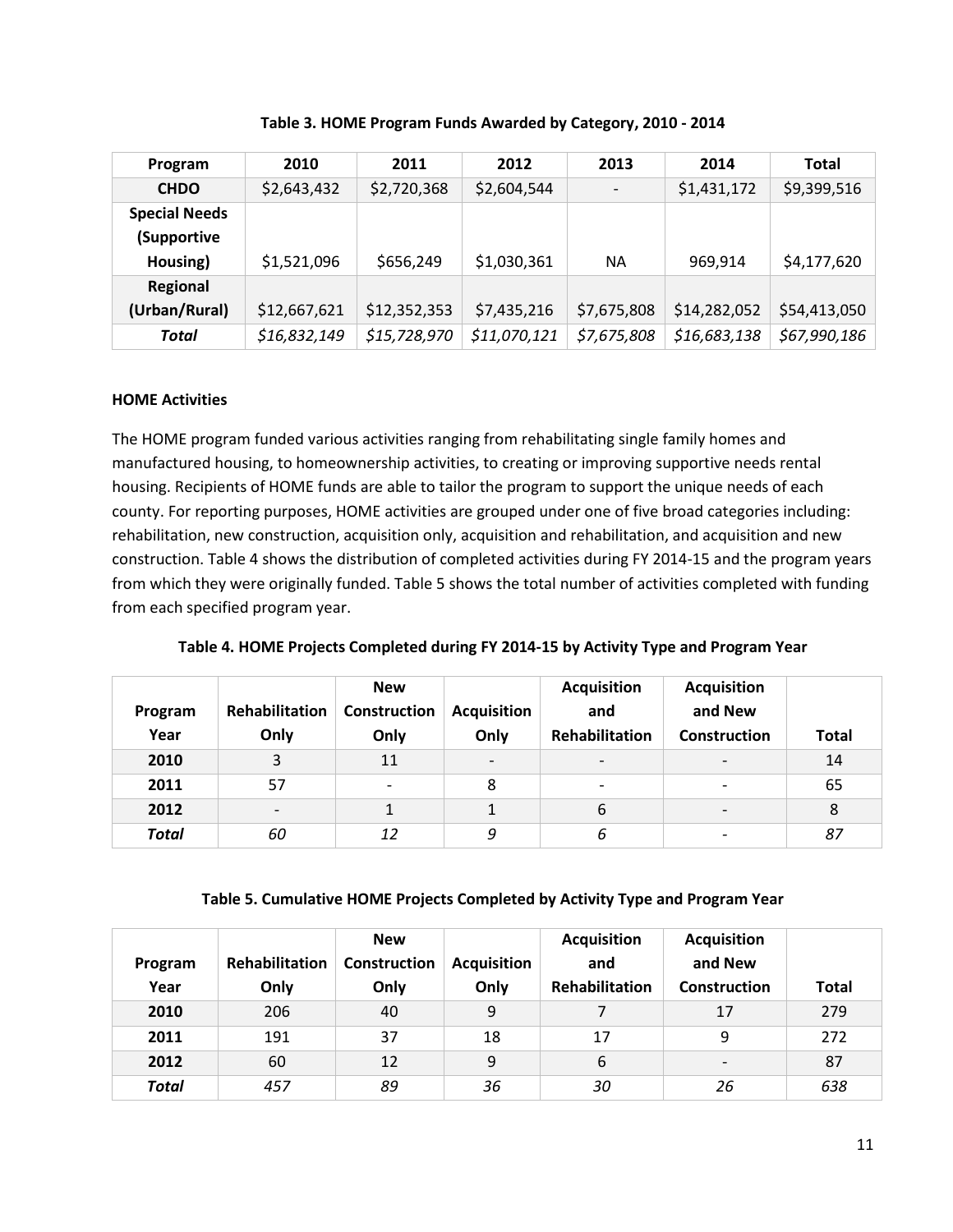| Program              | 2010         | 2011         | 2012         | 2013        | 2014         | <b>Total</b> |
|----------------------|--------------|--------------|--------------|-------------|--------------|--------------|
| <b>CHDO</b>          | \$2,643,432  | \$2,720,368  | \$2,604,544  |             | \$1,431,172  | \$9,399,516  |
| <b>Special Needs</b> |              |              |              |             |              |              |
| (Supportive          |              |              |              |             |              |              |
| Housing)             | \$1,521,096  | \$656,249    | \$1,030,361  | <b>NA</b>   | 969,914      | \$4,177,620  |
| Regional             |              |              |              |             |              |              |
| (Urban/Rural)        | \$12,667,621 | \$12,352,353 | \$7,435,216  | \$7,675,808 | \$14,282,052 | \$54,413,050 |
| Total                | \$16,832,149 | \$15,728,970 | \$11,070,121 | \$7,675,808 | \$16,683,138 | \$67,990,186 |

**Table 3. HOME Program Funds Awarded by Category, 2010 - 2014**

# **HOME Activities**

The HOME program funded various activities ranging from rehabilitating single family homes and manufactured housing, to homeownership activities, to creating or improving supportive needs rental housing. Recipients of HOME funds are able to tailor the program to support the unique needs of each county. For reporting purposes, HOME activities are grouped under one of five broad categories including: rehabilitation, new construction, acquisition only, acquisition and rehabilitation, and acquisition and new construction. Table 4 shows the distribution of completed activities during FY 2014-15 and the program years from which they were originally funded. Table 5 shows the total number of activities completed with funding from each specified program year.

**Table 4. HOME Projects Completed during FY 2014-15 by Activity Type and Program Year**

| Program<br>Year | <b>Rehabilitation</b><br>Only | <b>New</b><br>Construction<br>Only | <b>Acquisition</b><br>Only | <b>Acquisition</b><br>and<br>Rehabilitation | <b>Acquisition</b><br>and New<br>Construction | <b>Total</b> |
|-----------------|-------------------------------|------------------------------------|----------------------------|---------------------------------------------|-----------------------------------------------|--------------|
| 2010            | 3                             | 11                                 | $\overline{\phantom{0}}$   | $\overline{\phantom{a}}$                    | $\overline{\phantom{a}}$                      | 14           |
| 2011            | 57                            | $\overline{\phantom{a}}$           | 8                          | $\overline{\phantom{a}}$                    | $\overline{\phantom{a}}$                      | 65           |
| 2012            |                               |                                    | 1                          | 6                                           | $\overline{\phantom{a}}$                      | 8            |
| <b>Total</b>    | 60                            | 12                                 | 9                          | 6                                           | $\overline{\phantom{a}}$                      | 87           |

#### **Table 5. Cumulative HOME Projects Completed by Activity Type and Program Year**

|              |                | <b>New</b>          |                    | <b>Acquisition</b>    | <b>Acquisition</b>       |              |
|--------------|----------------|---------------------|--------------------|-----------------------|--------------------------|--------------|
| Program      | Rehabilitation | <b>Construction</b> | <b>Acquisition</b> | and                   | and New                  |              |
| Year         | Only           | Only                | Only               | <b>Rehabilitation</b> | Construction             | <b>Total</b> |
| 2010         | 206            | 40                  | 9                  |                       | 17                       | 279          |
| 2011         | 191            | 37                  | 18                 | 17                    | 9                        | 272          |
| 2012         | 60             | 12                  | 9                  | 6                     | $\overline{\phantom{0}}$ | 87           |
| <b>Total</b> | 457            | 89                  | 36                 | 30                    | 26                       | 638          |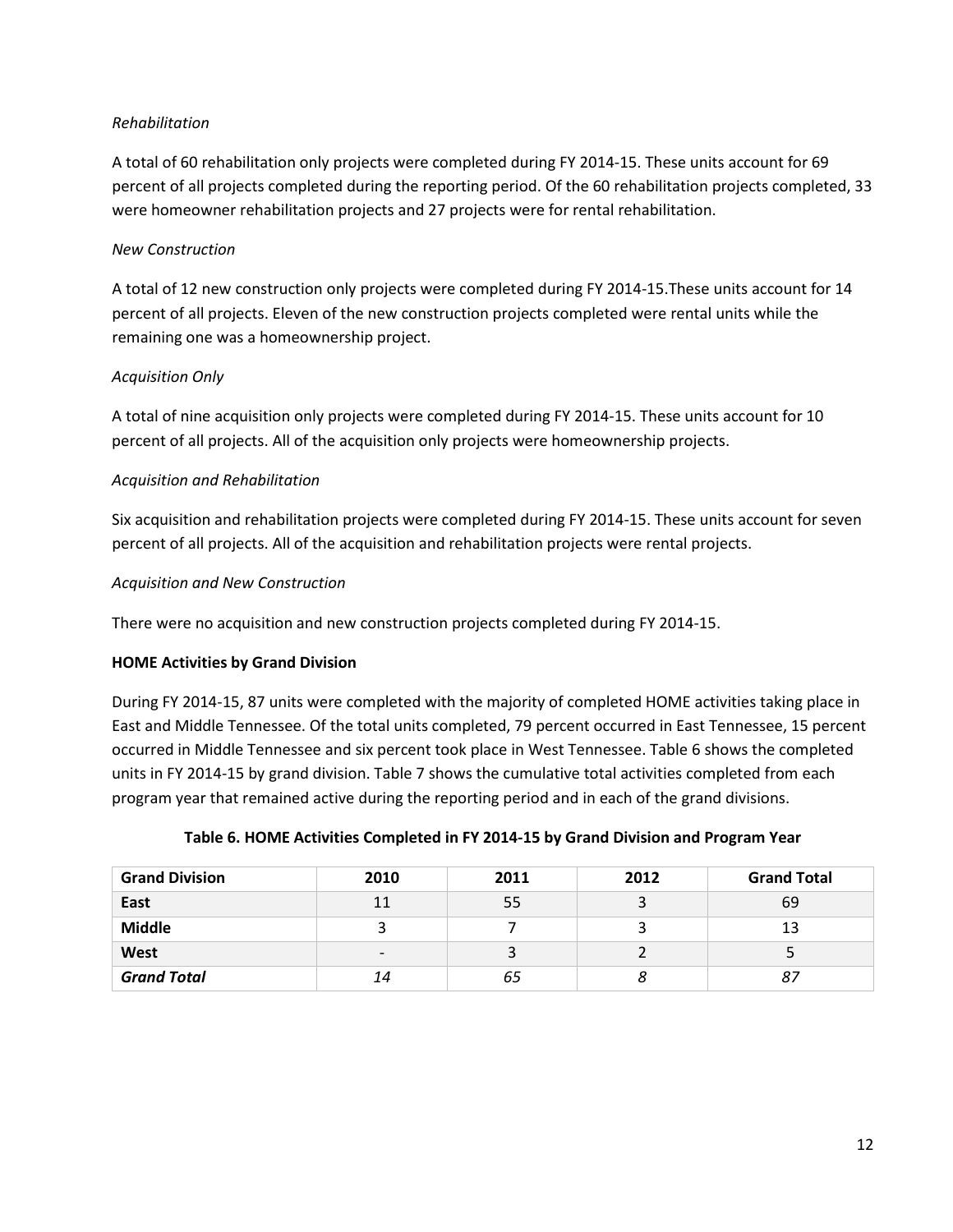# *Rehabilitation*

A total of 60 rehabilitation only projects were completed during FY 2014-15. These units account for 69 percent of all projects completed during the reporting period. Of the 60 rehabilitation projects completed, 33 were homeowner rehabilitation projects and 27 projects were for rental rehabilitation.

# *New Construction*

A total of 12 new construction only projects were completed during FY 2014-15.These units account for 14 percent of all projects. Eleven of the new construction projects completed were rental units while the remaining one was a homeownership project.

# *Acquisition Only*

A total of nine acquisition only projects were completed during FY 2014-15. These units account for 10 percent of all projects. All of the acquisition only projects were homeownership projects.

# *Acquisition and Rehabilitation*

Six acquisition and rehabilitation projects were completed during FY 2014-15. These units account for seven percent of all projects. All of the acquisition and rehabilitation projects were rental projects.

# *Acquisition and New Construction*

There were no acquisition and new construction projects completed during FY 2014-15.

#### **HOME Activities by Grand Division**

During FY 2014-15, 87 units were completed with the majority of completed HOME activities taking place in East and Middle Tennessee. Of the total units completed, 79 percent occurred in East Tennessee, 15 percent occurred in Middle Tennessee and six percent took place in West Tennessee. Table 6 shows the completed units in FY 2014-15 by grand division. Table 7 shows the cumulative total activities completed from each program year that remained active during the reporting period and in each of the grand divisions.

| <b>Grand Division</b> | 2010                     | 2011 | 2012 | <b>Grand Total</b> |
|-----------------------|--------------------------|------|------|--------------------|
| East                  | 11                       | 55   |      | 69                 |
| <b>Middle</b>         |                          |      |      | 13                 |
| West                  | $\overline{\phantom{a}}$ |      |      |                    |
| <b>Grand Total</b>    | 14                       | 65   | 8    | 87                 |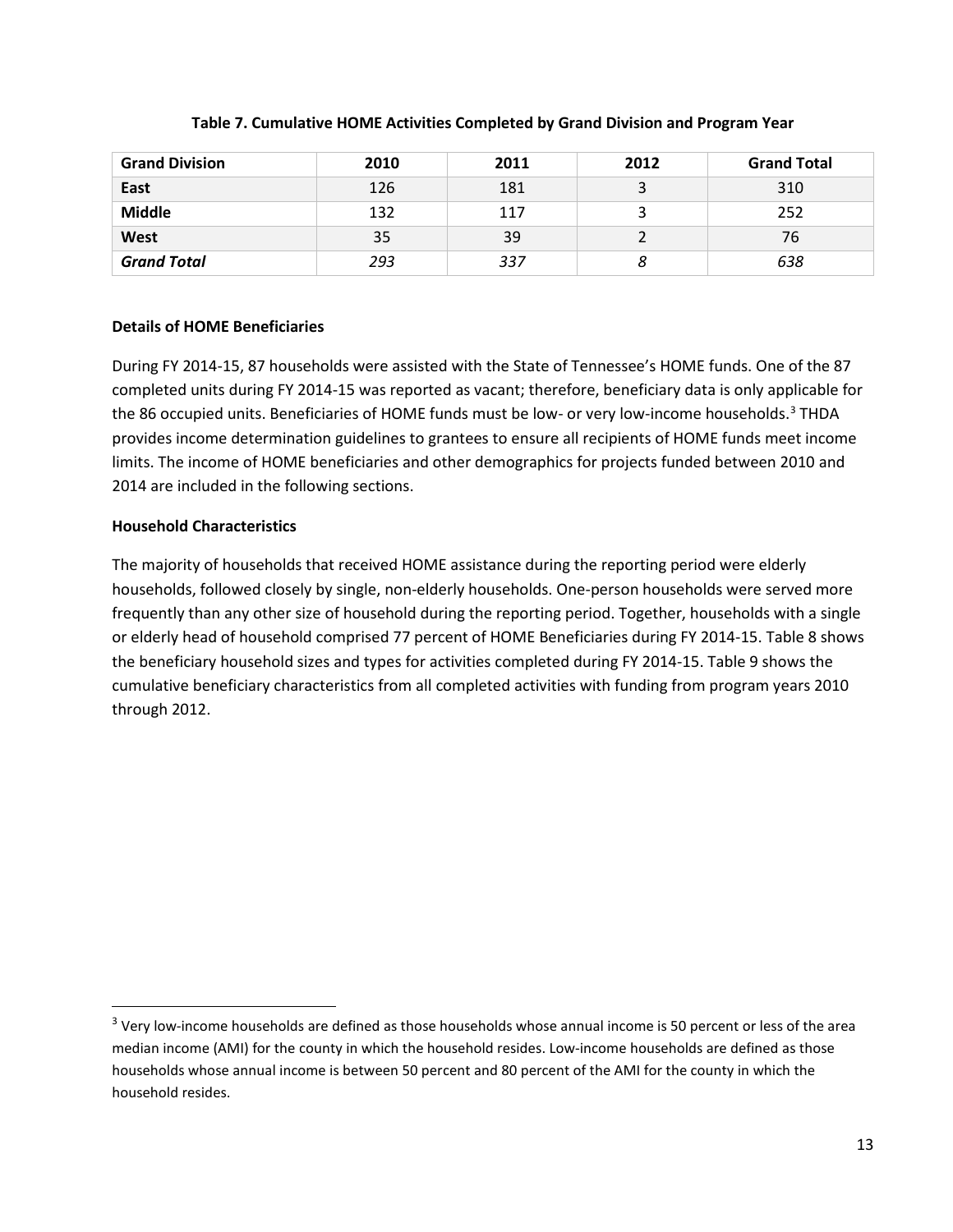| <b>Grand Division</b> | 2010 | 2011 | 2012 | <b>Grand Total</b> |
|-----------------------|------|------|------|--------------------|
| East                  | 126  | 181  |      | 310                |
| <b>Middle</b>         | 132  | 117  |      | 252                |
| West                  | 35   | 39   |      | 76                 |
| <b>Grand Total</b>    | 293  | 337  |      | 638                |

# **Table 7. Cumulative HOME Activities Completed by Grand Division and Program Year**

# **Details of HOME Beneficiaries**

During FY 2014-15, 87 households were assisted with the State of Tennessee's HOME funds. One of the 87 completed units during FY 2014-15 was reported as vacant; therefore, beneficiary data is only applicable for the 86 occupied units. Beneficiaries of HOME funds must be low- or very low-income households. [3](#page-12-0) THDA provides income determination guidelines to grantees to ensure all recipients of HOME funds meet income limits. The income of HOME beneficiaries and other demographics for projects funded between 2010 and 2014 are included in the following sections.

# **Household Characteristics**

The majority of households that received HOME assistance during the reporting period were elderly households, followed closely by single, non-elderly households. One-person households were served more frequently than any other size of household during the reporting period. Together, households with a single or elderly head of household comprised 77 percent of HOME Beneficiaries during FY 2014-15. Table 8 shows the beneficiary household sizes and types for activities completed during FY 2014-15. Table 9 shows the cumulative beneficiary characteristics from all completed activities with funding from program years 2010 through 2012.

<span id="page-12-0"></span><sup>&</sup>lt;sup>3</sup> Very low-income households are defined as those households whose annual income is 50 percent or less of the area median income (AMI) for the county in which the household resides. Low-income households are defined as those households whose annual income is between 50 percent and 80 percent of the AMI for the county in which the household resides.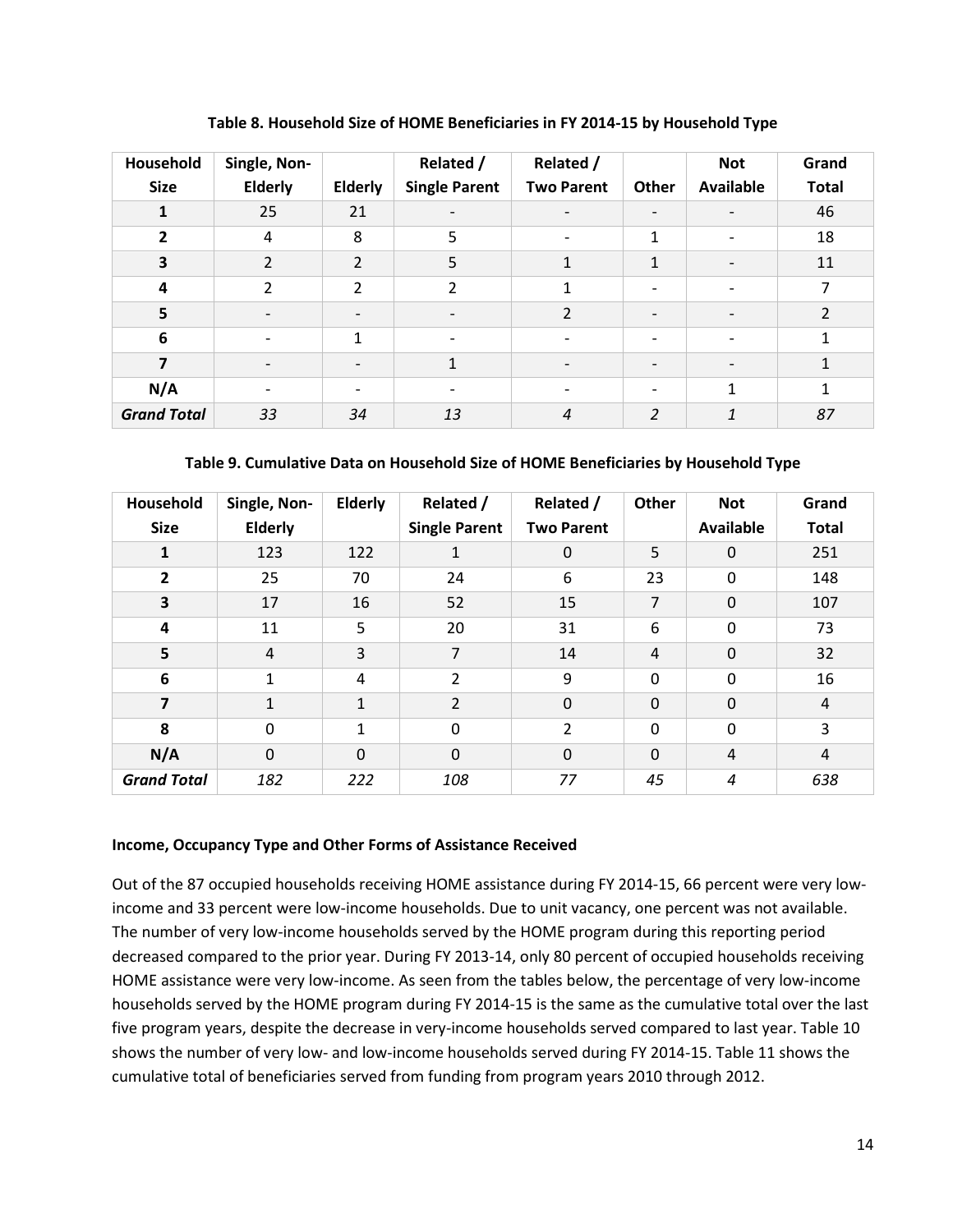| Household<br><b>Size</b> | Single, Non-<br><b>Elderly</b> | Elderly                  | Related /<br><b>Single Parent</b> | Related /<br><b>Two Parent</b> | Other                    | <b>Not</b><br><b>Available</b> | Grand<br><b>Total</b> |
|--------------------------|--------------------------------|--------------------------|-----------------------------------|--------------------------------|--------------------------|--------------------------------|-----------------------|
| 1                        | 25                             | 21                       | $\overline{\phantom{a}}$          | $\overline{\phantom{a}}$       | $\overline{\phantom{a}}$ |                                | 46                    |
| $\overline{2}$           | 4                              | 8                        | 5                                 | $\qquad \qquad \blacksquare$   | 1                        | $\overline{\phantom{a}}$       | 18                    |
| $\overline{\mathbf{3}}$  | $\overline{2}$                 | $\overline{2}$           | 5                                 | $\mathbf{1}$                   | 1                        | $\overline{\phantom{a}}$       | 11                    |
| 4                        | $\overline{2}$                 | 2                        | $\overline{2}$                    | $\mathbf{1}$                   | $\overline{\phantom{a}}$ | $\qquad \qquad \blacksquare$   | $\overline{7}$        |
| 5                        | $\overline{\phantom{a}}$       | $\overline{\phantom{a}}$ | $\overline{\phantom{a}}$          | $\overline{2}$                 | $\overline{\phantom{a}}$ | $\overline{\phantom{a}}$       | $\overline{2}$        |
| 6                        | $\overline{\phantom{0}}$       | 1                        | $\overline{\phantom{a}}$          | $\overline{\phantom{a}}$       | $\overline{\phantom{0}}$ | $\overline{\phantom{0}}$       | $\mathbf{1}$          |
| $\overline{7}$           | $\overline{\phantom{a}}$       | $\overline{\phantom{a}}$ | $\mathbf{1}$                      | $\overline{\phantom{a}}$       | $\overline{\phantom{a}}$ | $\overline{\phantom{a}}$       | 1                     |
| N/A                      |                                |                          | $\overline{\phantom{a}}$          |                                |                          | 1                              | $\mathbf{1}$          |
| <b>Grand Total</b>       | 33                             | 34                       | 13                                | $\boldsymbol{4}$               | $\overline{2}$           | 1                              | 87                    |

**Table 8. Household Size of HOME Beneficiaries in FY 2014-15 by Household Type**

# **Table 9. Cumulative Data on Household Size of HOME Beneficiaries by Household Type**

| Household<br><b>Size</b> | Single, Non-<br>Elderly | <b>Elderly</b> | Related /<br><b>Single Parent</b> | Related /<br><b>Two Parent</b> | Other          | <b>Not</b><br><b>Available</b> | Grand<br><b>Total</b> |
|--------------------------|-------------------------|----------------|-----------------------------------|--------------------------------|----------------|--------------------------------|-----------------------|
| 1                        | 123                     | 122            | $\mathbf{1}$                      | $\mathbf 0$                    | 5              | $\mathbf 0$                    | 251                   |
| 2                        | 25                      | 70             | 24                                | 6                              | 23             | 0                              | 148                   |
| 3                        | 17                      | 16             | 52                                | 15                             | 7              | $\mathbf 0$                    | 107                   |
| 4                        | 11                      | 5              | 20                                | 31                             | 6              | 0                              | 73                    |
| 5                        | 4                       | 3              | $\overline{7}$                    | 14                             | $\overline{4}$ | $\mathbf 0$                    | 32                    |
| 6                        | $\mathbf{1}$            | 4              | $\overline{2}$                    | 9                              | $\Omega$       | $\Omega$                       | 16                    |
| 7                        | $\mathbf{1}$            | 1              | $\overline{2}$                    | $\mathbf 0$                    | $\mathbf 0$    | $\Omega$                       | $\overline{4}$        |
| 8                        | $\Omega$                | 1              | $\mathbf 0$                       | 2                              | $\mathbf 0$    | $\mathbf 0$                    | 3                     |
| N/A                      | $\Omega$                | $\mathbf 0$    | $\mathbf 0$                       | $\mathbf 0$                    | $\mathbf 0$    | $\overline{4}$                 | $\overline{4}$        |
| <b>Grand Total</b>       | 182                     | 222            | 108                               | 77                             | 45             | 4                              | 638                   |

#### **Income, Occupancy Type and Other Forms of Assistance Received**

Out of the 87 occupied households receiving HOME assistance during FY 2014-15, 66 percent were very lowincome and 33 percent were low-income households. Due to unit vacancy, one percent was not available. The number of very low-income households served by the HOME program during this reporting period decreased compared to the prior year. During FY 2013-14, only 80 percent of occupied households receiving HOME assistance were very low-income. As seen from the tables below, the percentage of very low-income households served by the HOME program during FY 2014-15 is the same as the cumulative total over the last five program years, despite the decrease in very-income households served compared to last year. Table 10 shows the number of very low- and low-income households served during FY 2014-15. Table 11 shows the cumulative total of beneficiaries served from funding from program years 2010 through 2012.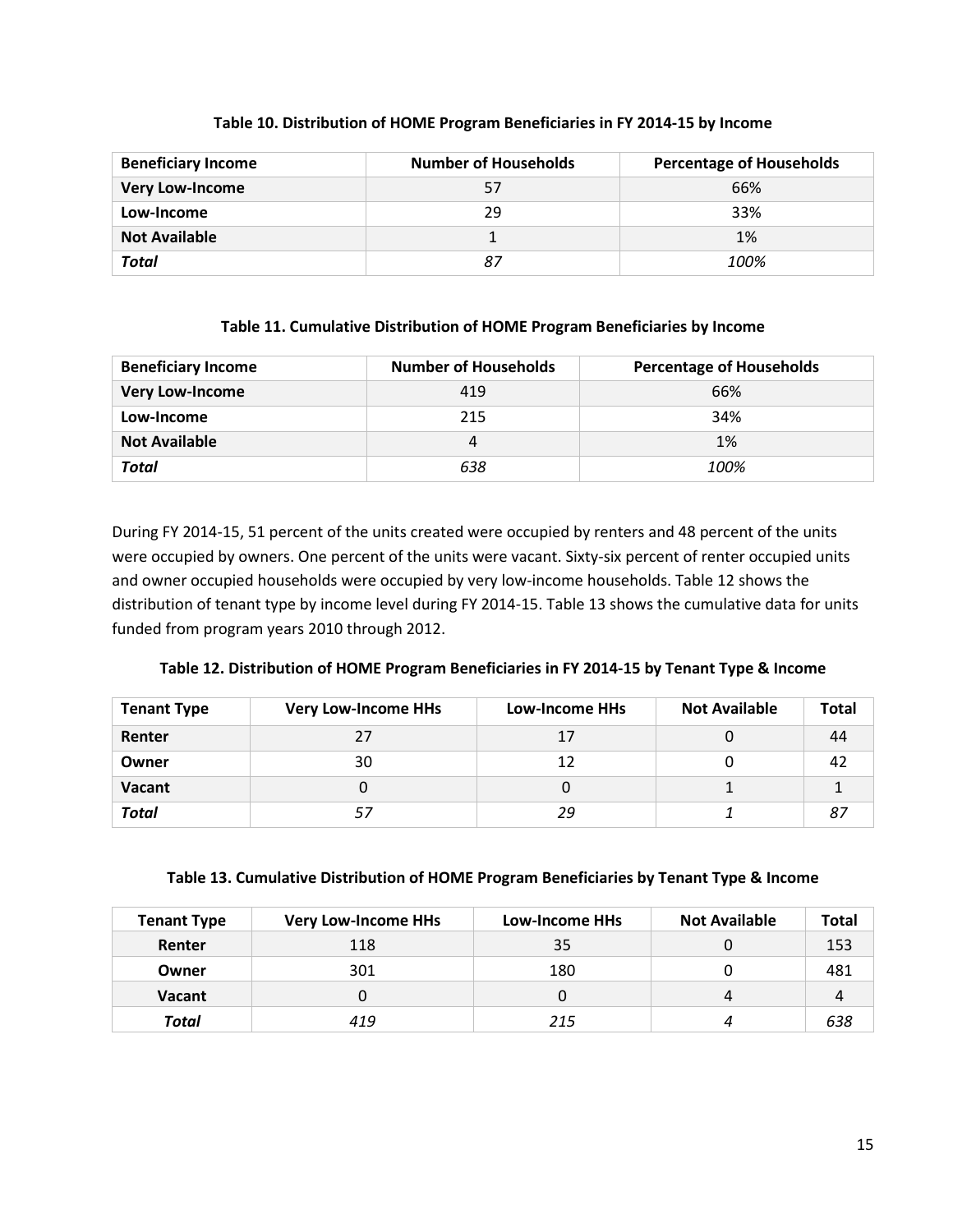| <b>Beneficiary Income</b> | <b>Number of Households</b> | <b>Percentage of Households</b> |
|---------------------------|-----------------------------|---------------------------------|
| <b>Very Low-Income</b>    | 57                          | 66%                             |
| Low-Income                | 29                          | 33%                             |
| <b>Not Available</b>      |                             | 1%                              |
| Total                     |                             | 100%                            |

# **Table 10. Distribution of HOME Program Beneficiaries in FY 2014-15 by Income**

#### **Table 11. Cumulative Distribution of HOME Program Beneficiaries by Income**

| <b>Beneficiary Income</b> | <b>Number of Households</b> | <b>Percentage of Households</b> |
|---------------------------|-----------------------------|---------------------------------|
| <b>Very Low-Income</b>    | 419                         | 66%                             |
| Low-Income                | 215                         | 34%                             |
| <b>Not Available</b>      |                             | 1%                              |
| <b>Total</b>              | 638                         | 100%                            |

During FY 2014-15, 51 percent of the units created were occupied by renters and 48 percent of the units were occupied by owners. One percent of the units were vacant. Sixty-six percent of renter occupied units and owner occupied households were occupied by very low-income households. Table 12 shows the distribution of tenant type by income level during FY 2014-15. Table 13 shows the cumulative data for units funded from program years 2010 through 2012.

| <b>Tenant Type</b> | <b>Very Low-Income HHs</b> | <b>Low-Income HHs</b> | <b>Not Available</b> | <b>Total</b> |
|--------------------|----------------------------|-----------------------|----------------------|--------------|
| Renter             | 27                         | 17                    |                      | 44           |
| Owner              | 30                         | 12                    |                      | 42           |
| Vacant             |                            | U                     |                      |              |
| <b>Total</b>       | 57                         | 29                    |                      |              |

#### **Table 13. Cumulative Distribution of HOME Program Beneficiaries by Tenant Type & Income**

| <b>Tenant Type</b> | <b>Very Low-Income HHs</b> | Low-Income HHs | <b>Not Available</b> | <b>Total</b> |
|--------------------|----------------------------|----------------|----------------------|--------------|
| Renter             | 118                        | 35             |                      | 153          |
| Owner              | 301                        | 180            |                      | 481          |
| <b>Vacant</b>      | 0                          | O              | 4                    | 4            |
| Total              | 419                        | 215            | 4                    | 638          |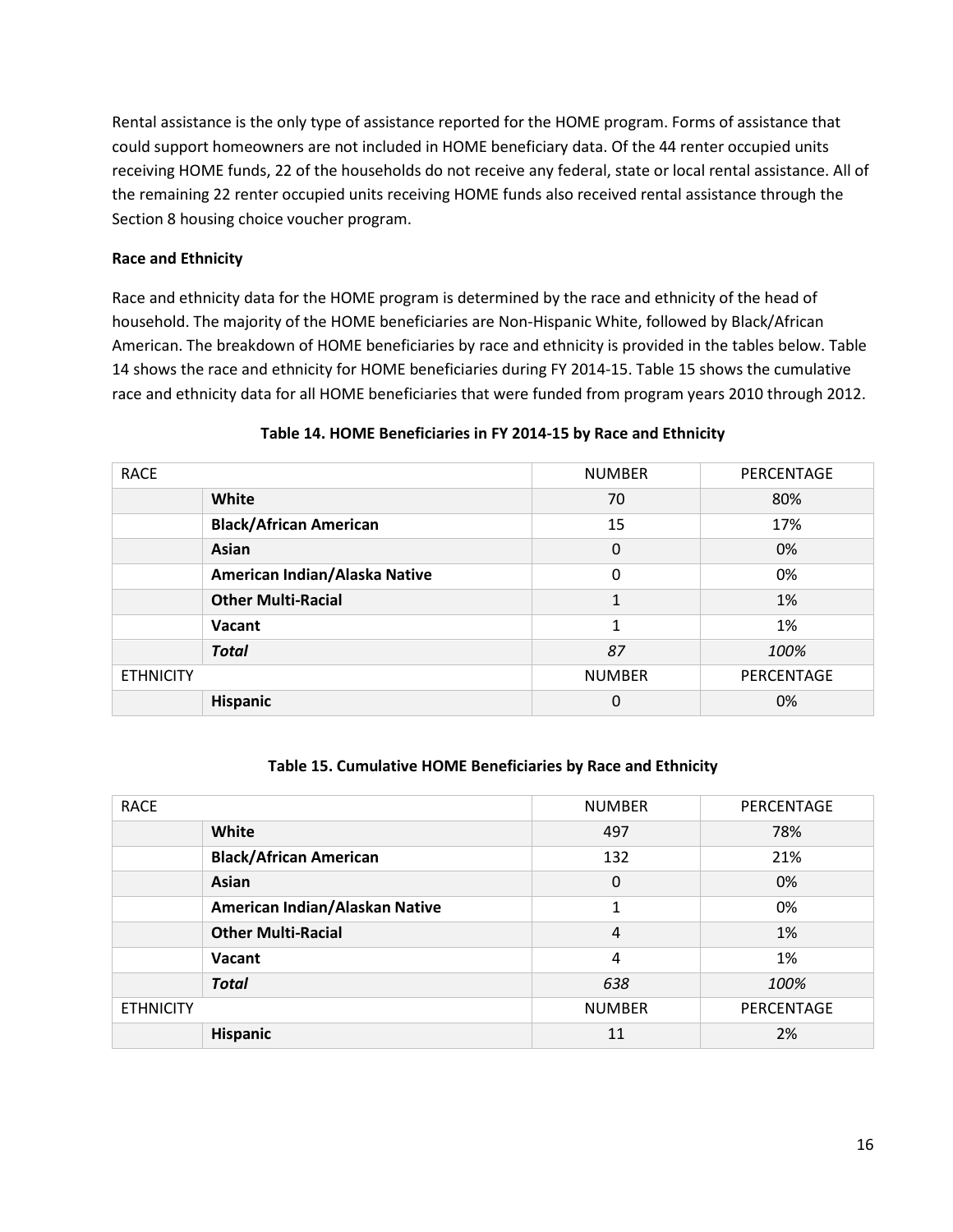Rental assistance is the only type of assistance reported for the HOME program. Forms of assistance that could support homeowners are not included in HOME beneficiary data. Of the 44 renter occupied units receiving HOME funds, 22 of the households do not receive any federal, state or local rental assistance. All of the remaining 22 renter occupied units receiving HOME funds also received rental assistance through the Section 8 housing choice voucher program.

# **Race and Ethnicity**

Race and ethnicity data for the HOME program is determined by the race and ethnicity of the head of household. The majority of the HOME beneficiaries are Non-Hispanic White, followed by Black/African American. The breakdown of HOME beneficiaries by race and ethnicity is provided in the tables below. Table 14 shows the race and ethnicity for HOME beneficiaries during FY 2014-15. Table 15 shows the cumulative race and ethnicity data for all HOME beneficiaries that were funded from program years 2010 through 2012.

| <b>RACE</b>                   | <b>NUMBER</b> | PERCENTAGE |
|-------------------------------|---------------|------------|
| White                         | 70            | 80%        |
| <b>Black/African American</b> | 15            | 17%        |
| <b>Asian</b>                  | 0             | 0%         |
| American Indian/Alaska Native | $\Omega$      | 0%         |
| <b>Other Multi-Racial</b>     | $\mathbf{1}$  | 1%         |
| Vacant                        | 1             | 1%         |
| <b>Total</b>                  | 87            | 100%       |
| <b>ETHNICITY</b>              | <b>NUMBER</b> | PERCENTAGE |
| <b>Hispanic</b>               | 0             | 0%         |

#### **Table 14. HOME Beneficiaries in FY 2014-15 by Race and Ethnicity**

#### **Table 15. Cumulative HOME Beneficiaries by Race and Ethnicity**

| <b>RACE</b>                    | <b>NUMBER</b> | PERCENTAGE |
|--------------------------------|---------------|------------|
| White                          | 497           | 78%        |
| <b>Black/African American</b>  | 132           | 21%        |
| Asian                          | $\Omega$      | 0%         |
| American Indian/Alaskan Native | 1             | 0%         |
| <b>Other Multi-Racial</b>      | 4             | 1%         |
| Vacant                         | 4             | 1%         |
| <b>Total</b>                   | 638           | 100%       |
| <b>ETHNICITY</b>               | <b>NUMBER</b> | PERCENTAGE |
| <b>Hispanic</b>                | 11            | 2%         |